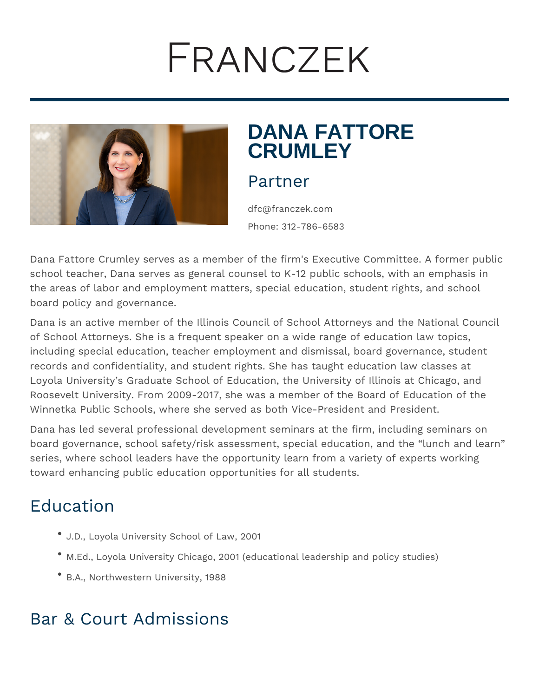# FRANCZEK



# **DANA FATTORE CRUMLEY**

#### Partner

dfc@franczek.com Phone: 312-786-6583

Dana Fattore Crumley serves as a member of the firm's Executive Committee. A former public school teacher, Dana serves as general counsel to K-12 public schools, with an emphasis in the areas of labor and employment matters, special education, student rights, and school board policy and governance.

Dana is an active member of the Illinois Council of School Attorneys and the National Council of School Attorneys. She is a frequent speaker on a wide range of education law topics, including special education, teacher employment and dismissal, board governance, student records and confidentiality, and student rights. She has taught education law classes at Loyola University's Graduate School of Education, the University of Illinois at Chicago, and Roosevelt University. From 2009-2017, she was a member of the Board of Education of the Winnetka Public Schools, where she served as both Vice-President and President.

Dana has led several professional development seminars at the firm, including seminars on board governance, school safety/risk assessment, special education, and the "lunch and learn" series, where school leaders have the opportunity learn from a variety of experts working toward enhancing public education opportunities for all students.

## Education

- J.D., Loyola University School of Law, 2001
- M.Ed., Loyola University Chicago, 2001 (educational leadership and policy studies)
- B.A., Northwestern University, 1988

#### Bar & Court Admissions